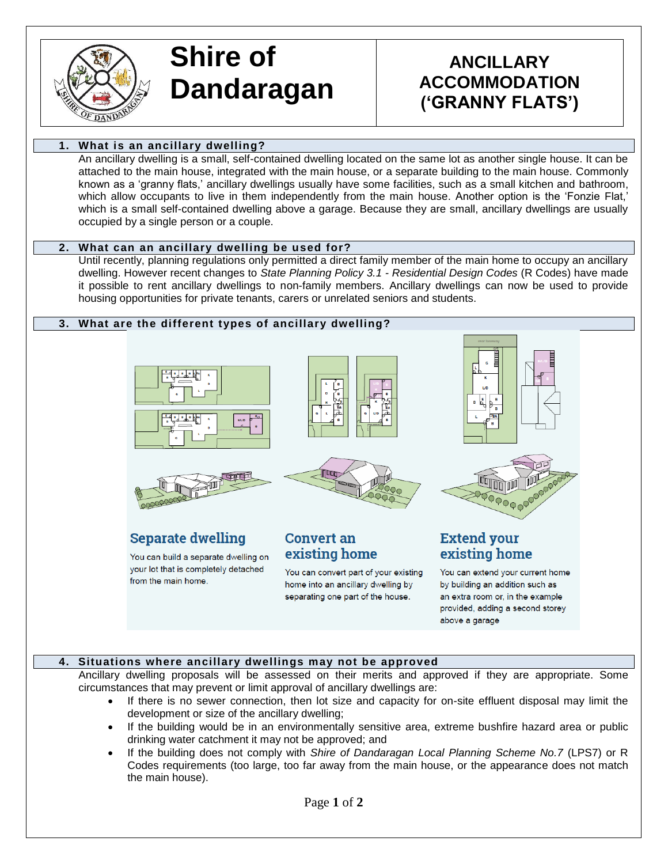

# **Shire of Dandaragan**

# **ANCILLARY ACCOMMODATION ('GRANNY FLATS')**

### **1. What is an ancillary dwelling?**

An ancillary dwelling is a small, self-contained dwelling located on the same lot as another single house. It can be attached to the main house, integrated with the main house, or a separate building to the main house. Commonly known as a 'granny flats,' ancillary dwellings usually have some facilities, such as a small kitchen and bathroom, which allow occupants to live in them independently from the main house. Another option is the 'Fonzie Flat,' which is a small self-contained dwelling above a garage. Because they are small, ancillary dwellings are usually occupied by a single person or a couple.

#### **2. What can an ancillary dwelling be used for?**

Until recently, planning regulations only permitted a direct family member of the main home to occupy an ancillary dwelling. However recent changes to *State Planning Policy 3.1 - Residential Design Codes* (R Codes) have made it possible to rent ancillary dwellings to non-family members. Ancillary dwellings can now be used to provide housing opportunities for private tenants, carers or unrelated seniors and students.

#### **3. What are the different types of ancillary dwelling?**



**Separate dwelling** 

from the main home.

You can build a separate dwelling on your lot that is completely detached

ЯŪ



**Convert an** existing home





# **Extend your** existing home

You can extend your current home by building an addition such as an extra room or, in the example provided, adding a second storey above a garage

# **4. Situations where ancillary dwellings may not be approved**

Ancillary dwelling proposals will be assessed on their merits and approved if they are appropriate. Some circumstances that may prevent or limit approval of ancillary dwellings are:

You can convert part of your existing

home into an ancillary dwelling by

separating one part of the house.

- If there is no sewer connection, then lot size and capacity for on-site effluent disposal may limit the development or size of the ancillary dwelling;
- If the building would be in an environmentally sensitive area, extreme bushfire hazard area or public drinking water catchment it may not be approved; and
- If the building does not comply with *Shire of Dandaragan Local Planning Scheme No.7* (LPS7) or R Codes requirements (too large, too far away from the main house, or the appearance does not match the main house).